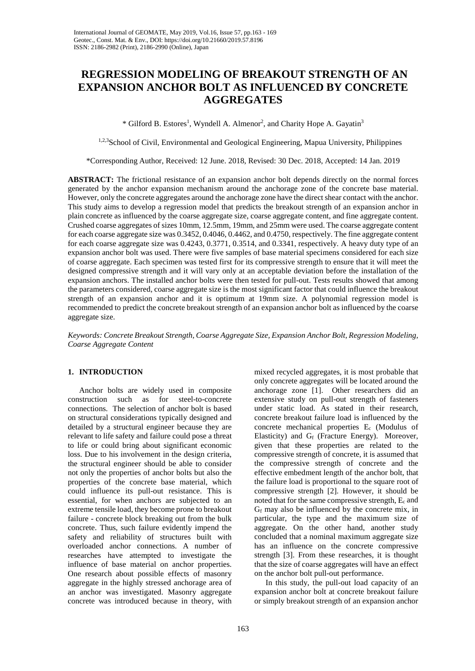# **REGRESSION MODELING OF BREAKOUT STRENGTH OF AN EXPANSION ANCHOR BOLT AS INFLUENCED BY CONCRETE AGGREGATES**

\* Gilford B. Estores<sup>1</sup>, Wyndell A. Almenor<sup>2</sup>, and Charity Hope A. Gayatin<sup>3</sup>

1,2,3School of Civil, Environmental and Geological Engineering, Mapua University, Philippines

\*Corresponding Author, Received: 12 June. 2018, Revised: 30 Dec. 2018, Accepted: 14 Jan. 2019

**ABSTRACT:** The frictional resistance of an expansion anchor bolt depends directly on the normal forces generated by the anchor expansion mechanism around the anchorage zone of the concrete base material. However, only the concrete aggregates around the anchorage zone have the direct shear contact with the anchor. This study aims to develop a regression model that predicts the breakout strength of an expansion anchor in plain concrete as influenced by the coarse aggregate size, coarse aggregate content, and fine aggregate content. Crushed coarse aggregates of sizes 10mm, 12.5mm, 19mm, and 25mm were used. The coarse aggregate content for each coarse aggregate size was 0.3452, 0.4046, 0.4462, and 0.4750, respectively. The fine aggregate content for each coarse aggregate size was 0.4243, 0.3771, 0.3514, and 0.3341, respectively. A heavy duty type of an expansion anchor bolt was used. There were five samples of base material specimens considered for each size of coarse aggregate. Each specimen was tested first for its compressive strength to ensure that it will meet the designed compressive strength and it will vary only at an acceptable deviation before the installation of the expansion anchors. The installed anchor bolts were then tested for pull-out. Tests results showed that among the parameters considered, coarse aggregate size is the most significant factor that could influence the breakout strength of an expansion anchor and it is optimum at 19mm size. A polynomial regression model is recommended to predict the concrete breakout strength of an expansion anchor bolt as influenced by the coarse aggregate size.

*Keywords: Concrete Breakout Strength, Coarse Aggregate Size, Expansion Anchor Bolt, Regression Modeling, Coarse Aggregate Content*

# **1. INTRODUCTION**

Anchor bolts are widely used in composite construction such as for steel-to-concrete connections. The selection of anchor bolt is based on structural considerations typically designed and detailed by a structural engineer because they are relevant to life safety and failure could pose a threat to life or could bring about significant economic loss. Due to his involvement in the design criteria, the structural engineer should be able to consider not only the properties of anchor bolts but also the properties of the concrete base material, which could influence its pull-out resistance. This is essential, for when anchors are subjected to an extreme tensile load, they become prone to breakout failure - concrete block breaking out from the bulk concrete. Thus, such failure evidently impend the safety and reliability of structures built with overloaded anchor connections. A number of researches have attempted to investigate the influence of base material on anchor properties. One research about possible effects of masonry aggregate in the highly stressed anchorage area of an anchor was investigated. Masonry aggregate concrete was introduced because in theory, with

mixed recycled aggregates, it is most probable that only concrete aggregates will be located around the anchorage zone [1]. Other researchers did an extensive study on pull-out strength of fasteners under static load. As stated in their research, concrete breakout failure load is influenced by the concrete mechanical properties Ec (Modulus of Elasticity) and  $G_f$  (Fracture Energy). Moreover, given that these properties are related to the compressive strength of concrete, it is assumed that the compressive strength of concrete and the effective embedment length of the anchor bolt, that the failure load is proportional to the square root of compressive strength [2]. However, it should be noted that for the same compressive strength, Ec and  $G_f$  may also be influenced by the concrete mix, in particular, the type and the maximum size of aggregate. On the other hand, another study concluded that a nominal maximum aggregate size has an influence on the concrete compressive strength [3]. From these researches, it is thought that the size of coarse aggregates will have an effect on the anchor bolt pull-out performance.

In this study, the pull-out load capacity of an expansion anchor bolt at concrete breakout failure or simply breakout strength of an expansion anchor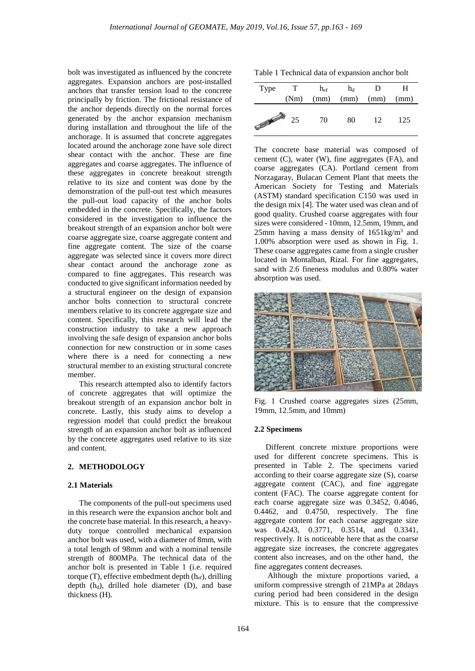bolt was investigated as influenced by the concrete aggregates. Expansion anchors are post-installed anchors that transfer tension load to the concrete principally by friction. The frictional resistance of the anchor depends directly on the normal forces generated by the anchor expansion mechanism during installation and throughout the life of the anchorage. It is assumed that concrete aggregates located around the anchorage zone have sole direct shear contact with the anchor. These are fine aggregates and coarse aggregates. The influence of these aggregates in concrete breakout strength relative to its size and content was done by the demonstration of the pull-out test which measures the pull-out load capacity of the anchor bolts embedded in the concrete. Specifically, the factors considered in the investigation to influence the breakout strength of an expansion anchor bolt were coarse aggregate size, coarse aggregate content and fine aggregate content. The size of the coarse aggregate was selected since it covers more direct shear contact around the anchorage zone as compared to fine aggregates. This research was conducted to give significant information needed by a structural engineer on the design of expansion anchor bolts connection to structural concrete members relative to its concrete aggregate size and content. Specifically, this research will lead the construction industry to take a new approach involving the safe design of expansion anchor bolts connection for new construction or in some cases where there is a need for connecting a new structural member to an existing structural concrete member.

This research attempted also to identify factors of concrete aggregates that will optimize the breakout strength of an expansion anchor bolt in concrete. Lastly, this study aims to develop a regression model that could predict the breakout strength of an expansion anchor bolt as influenced by the concrete aggregates used relative to its size and content.

## **2. METHODOLOGY**

## **2.1 Materials**

The components of the pull-out specimens used in this research were the expansion anchor bolt and the concrete base material. In this research, a heavyduty torque controlled mechanical expansion anchor bolt was used, with a diameter of 8mm, with a total length of 98mm and with a nominal tensile strength of 800MPa. The technical data of the anchor bolt is presented in Table 1 (i.e. required torque (T), effective embedment depth (hef), drilling depth  $(h_d)$ , drilled hole diameter  $(D)$ , and base thickness (H).

Table 1 Technical data of expansion anchor bolt

| Type           | T    | $h_{\rm ef}$ | $h_d$                       | D  | H   |
|----------------|------|--------------|-----------------------------|----|-----|
|                | (Nm) |              | $(mm)$ $(mm)$ $(mm)$ $(mm)$ |    |     |
| <b>COMPANY</b> | 25   | - 70         | 80                          | 12 | 125 |

The concrete base material was composed of cement (C), water (W), fine aggregates (FA), and coarse aggregates (CA). Portland cement from Norzagaray, Bulacan Cement Plant that meets the American Society for Testing and Materials (ASTM) standard specification C150 was used in the design mix [4]. The water used was clean and of good quality. Crushed coarse aggregates with four sizes were considered - 10mm, 12.5mm, 19mm, and 25mm having a mass density of  $1651 \text{kg/m}^3$  and 1.00% absorption were used as shown in Fig. 1. These coarse aggregates came from a single crusher located in Montalban, Rizal. For fine aggregates, sand with 2.6 fineness modulus and 0.80% water absorption was used.



Fig. 1 Crushed coarse aggregates sizes (25mm, 19mm, 12.5mm, and 10mm)

#### **2.2 Specimens**

Different concrete mixture proportions were used for different concrete specimens. This is presented in Table 2. The specimens varied according to their coarse aggregate size (S), coarse aggregate content (CAC), and fine aggregate content (FAC). The coarse aggregate content for each coarse aggregate size was 0.3452, 0.4046, 0.4462, and 0.4750, respectively. The fine aggregate content for each coarse aggregate size was 0.4243, 0.3771, 0.3514, and 0.3341, respectively. It is noticeable here that as the coarse aggregate size increases, the concrete aggregates content also increases, and on the other hand, the fine aggregates content decreases.

Although the mixture proportions varied, a uniform compressive strength of 21MPa at 28days curing period had been considered in the design mixture. This is to ensure that the compressive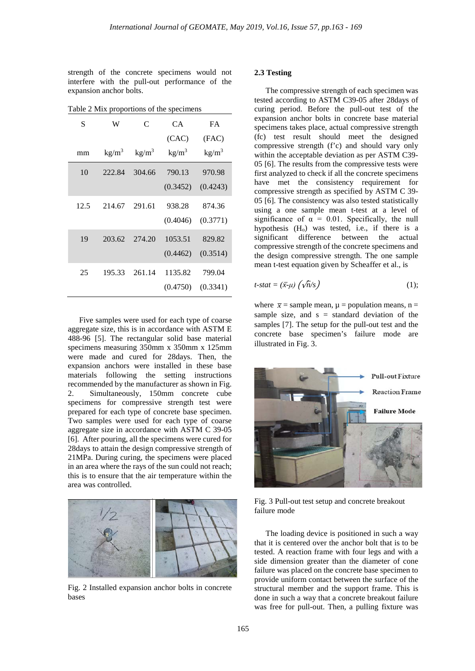strength of the concrete specimens would not interfere with the pull-out performance of the expansion anchor bolts.

| S    | W               | C                 | CA.             | <b>FA</b>       |
|------|-----------------|-------------------|-----------------|-----------------|
|      |                 |                   | (CAC)           | (FAC)           |
| mm   | $\text{kg/m}^3$ | kg/m <sup>3</sup> | $\text{kg/m}^3$ | $\text{kg/m}^3$ |
| 10   | 222.84          | 304.66            | 790.13          | 970.98          |
|      |                 |                   | (0.3452)        | (0.4243)        |
| 12.5 | 214.67          | 291.61            | 938.28          | 874.36          |
|      |                 |                   | (0.4046)        | (0.3771)        |
| 19   | 203.62          | 274.20            | 1053.51         | 829.82          |
|      |                 |                   | (0.4462)        | (0.3514)        |
| 25   | 195.33          | 261.14            | 1135.82         | 799.04          |
|      |                 |                   | (0.4750)        | (0.3341)        |

Table 2 Mix proportions of the specimens

Five samples were used for each type of coarse aggregate size, this is in accordance with ASTM E 488-96 [5]. The rectangular solid base material specimens measuring 350mm x 350mm x 125mm were made and cured for 28days. Then, the expansion anchors were installed in these base materials following the setting instructions recommended by the manufacturer as shown in Fig. 2. Simultaneously, 150mm concrete cube specimens for compressive strength test were prepared for each type of concrete base specimen. Two samples were used for each type of coarse aggregate size in accordance with ASTM C 39-05 [6]. After pouring, all the specimens were cured for 28days to attain the design compressive strength of 21MPa. During curing, the specimens were placed in an area where the rays of the sun could not reach; this is to ensure that the air temperature within the area was controlled.



Fig. 2 Installed expansion anchor bolts in concrete bases

## **2.3 Testing**

The compressive strength of each specimen was tested according to ASTM C39-05 after 28days of curing period. Before the pull-out test of the expansion anchor bolts in concrete base material specimens takes place, actual compressive strength (fc) test result should meet the designed compressive strength (f'c) and should vary only within the acceptable deviation as per ASTM C39- 05 [6]. The results from the compressive tests were first analyzed to check if all the concrete specimens have met the consistency requirement for compressive strength as specified by ASTM C 39- 05 [6]. The consistency was also tested statistically using a one sample mean t-test at a level of significance of  $\alpha = 0.01$ . Specifically, the null hypothesis (H<sub>o</sub>) was tested, i.e., if there is a significant difference between the actual compressive strength of the concrete specimens and the design compressive strength. The one sample mean t-test equation given by Scheaffer et al., is

$$
t\text{-}stat = (\bar{x}\text{-}\mu) \left( \sqrt{n}/s \right) \tag{1};
$$

where  $\bar{x}$  = sample mean,  $\mu$  = population means, n = sample size, and  $s =$  standard deviation of the samples [7]. The setup for the pull-out test and the concrete base specimen's failure mode are illustrated in Fig. 3.



Fig. 3 Pull-out test setup and concrete breakout failure mode

The loading device is positioned in such a way that it is centered over the anchor bolt that is to be tested. A reaction frame with four legs and with a side dimension greater than the diameter of cone failure was placed on the concrete base specimen to provide uniform contact between the surface of the structural member and the support frame. This is done in such a way that a concrete breakout failure was free for pull-out. Then, a pulling fixture was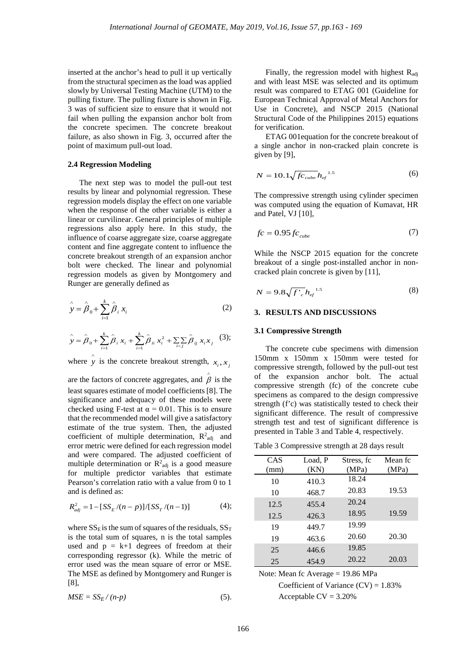inserted at the anchor's head to pull it up vertically from the structural specimen as the load was applied slowly by Universal Testing Machine (UTM) to the pulling fixture. The pulling fixture is shown in Fig. 3 was of sufficient size to ensure that it would not fail when pulling the expansion anchor bolt from the concrete specimen. The concrete breakout failure, as also shown in Fig. 3, occurred after the point of maximum pull-out load.

## **2.4 Regression Modeling**

The next step was to model the pull-out test results by linear and polynomial regression. These regression models display the effect on one variable when the response of the other variable is either a linear or curvilinear. General principles of multiple regressions also apply here. In this study, the influence of coarse aggregate size, coarse aggregate content and fine aggregate content to influence the concrete breakout strength of an expansion anchor bolt were checked. The linear and polynomial regression models as given by Montgomery and Runger are generally defined as

$$
\hat{y} = \hat{\beta}_0 + \sum_{i=1}^{k} \hat{\beta}_i x_i
$$
 (2)

$$
\hat{y} = \hat{\beta}_0 + \sum_{i=1}^k \hat{\beta}_i x_i + \sum_{i=1}^k \hat{\beta}_{ii} x_i^2 + \sum_{i < j} \hat{\beta}_{ij} x_i x_j \tag{3};
$$

where  $\hat{y}$  is the concrete breakout strength,  $x_i, x_j$ 

are the factors of concrete aggregates, and  $\hat{\beta}$  is the least squares estimate of model coefficients [8]. The significance and adequacy of these models were checked using F-test at  $\alpha = 0.01$ . This is to ensure that the recommended model will give a satisfactory estimate of the true system. Then, the adjusted coefficient of multiple determination,  $R^2_{adj}$  and error metric were defined for each regression model and were compared. The adjusted coefficient of multiple determination or  $R^2$ <sub>adj</sub> is a good measure for multiple predictor variables that estimate Pearson's correlation ratio with a value from 0 to 1 and is defined as:

$$
R_{adj}^{2} = 1 - [SS_{E}/(n-p)]/[SS_{T}/(n-1)] \tag{4};
$$

where  $SS_E$  is the sum of squares of the residuals,  $SS_T$ is the total sum of squares, n is the total samples used and  $p = k+1$  degrees of freedom at their corresponding regressor (k). While the metric of error used was the mean square of error or MSE. The MSE as defined by Montgomery and Runger is [8],

$$
MSE = SS_E / (n-p) \tag{5}
$$

Finally, the regression model with highest  $R_{\text{adj}}$ and with least MSE was selected and its optimum result was compared to ETAG 001 (Guideline for European Technical Approval of Metal Anchors for Use in Concrete), and NSCP 2015 (National Structural Code of the Philippines 2015) equations for verification.

ETAG 001equation for the concrete breakout of a single anchor in non-cracked plain concrete is given by [9],

$$
N = 10.1 \sqrt{f c_{\rm cube}} h_{\rm ef}^{\rm 1.5}
$$
 (6)

The compressive strength using cylinder specimen was computed using the equation of Kumavat, HR and Patel, VJ [10],

$$
fc = 0.95fc_{cube} \tag{7}
$$

While the NSCP 2015 equation for the concrete breakout of a single post-installed anchor in noncracked plain concrete is given by [11],

$$
N = 9.8 \sqrt{f'}_c h_{ef}^{1.5}
$$
 (8)

## **3. RESULTS AND DISCUSSIONS**

#### **3.1 Compressive Strength**

The concrete cube specimens with dimension 150mm x 150mm x 150mm were tested for compressive strength, followed by the pull-out test of the expansion anchor bolt. The actual compressive strength (fc) of the concrete cube specimens as compared to the design compressive strength (f'c) was statistically tested to check their significant difference. The result of compressive strength test and test of significant difference is presented in Table 3 and Table 4, respectively.

Table 3 Compressive strength at 28 days result

| CAS  | Load, P | Stress, fc | Mean fc |
|------|---------|------------|---------|
| (mm) | (KN)    | (MPa)      | (MPa)   |
| 10   | 410.3   | 18.24      |         |
| 10   | 468.7   | 20.83      | 19.53   |
| 12.5 | 455.4   | 20.24      |         |
| 12.5 | 426.3   | 18.95      | 19.59   |
| 19   | 449.7   | 19.99      |         |
| 19   | 463.6   | 20.60      | 20.30   |
| 25   | 446.6   | 19.85      |         |
| 25   | 454.9   | 20.22      | 20.03   |

Note: Mean fc Average = 19.86 MPa

Coefficient of Variance  $(CV) = 1.83\%$ Acceptable  $CV = 3.20%$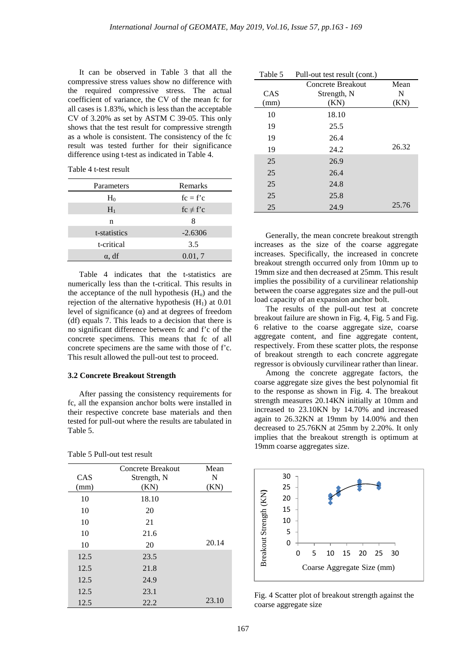It can be observed in Table 3 that all the compressive stress values show no difference with the required compressive stress. The actual coefficient of variance, the CV of the mean fc for all cases is 1.83%, which is less than the acceptable CV of 3.20% as set by ASTM C 39-05. This only shows that the test result for compressive strength as a whole is consistent. The consistency of the fc result was tested further for their significance difference using t-test as indicated in Table 4.

Table 4 t-test result

| Parameters    | Remarks       |
|---------------|---------------|
| $H_0$         | $fc = f'c$    |
| $H_1$         | $fc \neq f'c$ |
| n             | 8             |
| t-statistics  | $-2.6306$     |
| t-critical    | 3.5           |
| $\alpha$ , df | 0.01, 7       |

Table 4 indicates that the t-statistics are numerically less than the t-critical. This results in the acceptance of the null hypothesis  $(H<sub>o</sub>)$  and the rejection of the alternative hypothesis  $(H<sub>1</sub>)$  at 0.01 level of significance (α) and at degrees of freedom (df) equals 7. This leads to a decision that there is no significant difference between fc and f'c of the concrete specimens. This means that fc of all concrete specimens are the same with those of f'c. This result allowed the pull-out test to proceed.

### **3.2 Concrete Breakout Strength**

After passing the consistency requirements for fc, all the expansion anchor bolts were installed in their respective concrete base materials and then tested for pull-out where the results are tabulated in Table 5.

| CAS  | Concrete Breakout<br>Strength, N<br>(KN) | Mean<br>N |
|------|------------------------------------------|-----------|
| (mm) |                                          | (KN)      |
| 10   | 18.10                                    |           |
| 10   | 20                                       |           |
| 10   | 21                                       |           |
| 10   | 21.6                                     |           |
| 10   | 20                                       | 20.14     |
| 12.5 | 23.5                                     |           |
| 12.5 | 21.8                                     |           |
| 12.5 | 24.9                                     |           |
| 12.5 | 23.1                                     |           |
| 12.5 | 22.2                                     | 23.10     |

|  |  | Table 5 Pull-out test result |  |  |
|--|--|------------------------------|--|--|
|--|--|------------------------------|--|--|

| Table 5 | Pull-out test result (cont.) |       |
|---------|------------------------------|-------|
|         | Concrete Breakout            | Mean  |
| CAS     | Strength, N                  | N     |
| (mm)    | (KN)                         | (KN)  |
| 10      | 18.10                        |       |
| 19      | 25.5                         |       |
| 19      | 26.4                         |       |
| 19      | 24.2                         | 26.32 |
| 25      | 26.9                         |       |
| 25      | 26.4                         |       |
| 25      | 24.8                         |       |
| 25      | 25.8                         |       |
| 25      | 24.9                         | 25.76 |

Generally, the mean concrete breakout strength increases as the size of the coarse aggregate increases. Specifically, the increased in concrete breakout strength occurred only from 10mm up to 19mm size and then decreased at 25mm. This result implies the possibility of a curvilinear relationship between the coarse aggregates size and the pull-out load capacity of an expansion anchor bolt.

The results of the pull-out test at concrete breakout failure are shown in Fig. 4, Fig. 5 and Fig. 6 relative to the coarse aggregate size, coarse aggregate content, and fine aggregate content, respectively. From these scatter plots, the response of breakout strength to each concrete aggregate regressor is obviously curvilinear rather than linear.

Among the concrete aggregate factors, the coarse aggregate size gives the best polynomial fit to the response as shown in Fig. 4. The breakout strength measures 20.14KN initially at 10mm and increased to 23.10KN by 14.70% and increased again to 26.32KN at 19mm by 14.00% and then decreased to 25.76KN at 25mm by 2.20%. It only implies that the breakout strength is optimum at 19mm coarse aggregates size.



Fig. 4 Scatter plot of breakout strength against the coarse aggregate size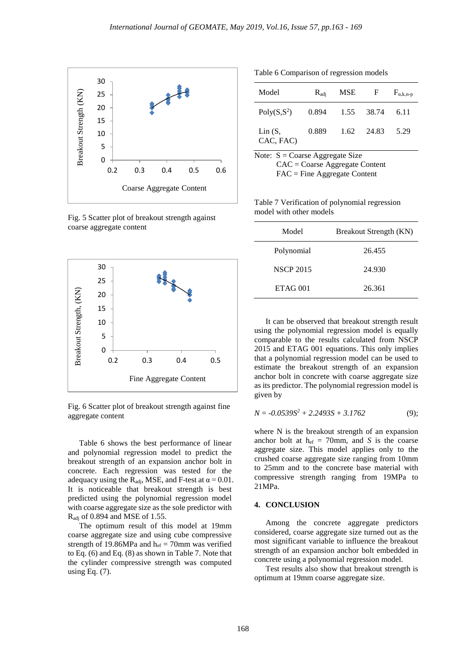

Fig. 5 Scatter plot of breakout strength against coarse aggregate content



Fig. 6 Scatter plot of breakout strength against fine aggregate content

Table 6 shows the best performance of linear and polynomial regression model to predict the breakout strength of an expansion anchor bolt in concrete. Each regression was tested for the adequacy using the R<sub>adj</sub>, MSE, and F-test at  $\alpha$  = 0.01. It is noticeable that breakout strength is best predicted using the polynomial regression model with coarse aggregate size as the sole predictor with Radj of 0.894 and MSE of 1.55.

The optimum result of this model at 19mm coarse aggregate size and using cube compressive strength of 19.86MPa and  $h_{ef} = 70$ mm was verified to Eq. (6) and Eq. (8) as shown in Table 7. Note that the cylinder compressive strength was computed using Eq. (7).

Table 6 Comparison of regression models

| Model                   | $R_{\rm adi}$ | <b>MSE</b> | $\mathbf{F}$ | $F_{\alpha,k,n-p}$ |
|-------------------------|---------------|------------|--------------|--------------------|
| Poly(S,S <sup>2</sup> ) | 0.894         | 1.55       | 38.74        | 6.11               |
| Lin(S,<br>CAC, FAC)     | 0.889         | 1.62       | 24.83        | 5.29               |

Note:  $S = \text{Coarse}$  Aggregate Size CAC = Coarse Aggregate Content FAC = Fine Aggregate Content

Table 7 Verification of polynomial regression model with other models

| Model            | <b>Breakout Strength (KN)</b> |
|------------------|-------------------------------|
| Polynomial       | 26.455                        |
| <b>NSCP 2015</b> | 24.930                        |
| $ETAG$ 001       | 26.361                        |

It can be observed that breakout strength result using the polynomial regression model is equally comparable to the results calculated from NSCP 2015 and ETAG 001 equations. This only implies that a polynomial regression model can be used to estimate the breakout strength of an expansion anchor bolt in concrete with coarse aggregate size as its predictor. The polynomial regression model is given by

$$
N = -0.0539S^2 + 2.2493S + 3.1762 \tag{9};
$$

where N is the breakout strength of an expansion anchor bolt at  $h_{\text{ef}} = 70$ mm, and *S* is the coarse aggregate size. This model applies only to the crushed coarse aggregate size ranging from 10mm to 25mm and to the concrete base material with compressive strength ranging from 19MPa to 21MPa.

## **4. CONCLUSION**

Among the concrete aggregate predictors considered, coarse aggregate size turned out as the most significant variable to influence the breakout strength of an expansion anchor bolt embedded in concrete using a polynomial regression model.

Test results also show that breakout strength is optimum at 19mm coarse aggregate size.